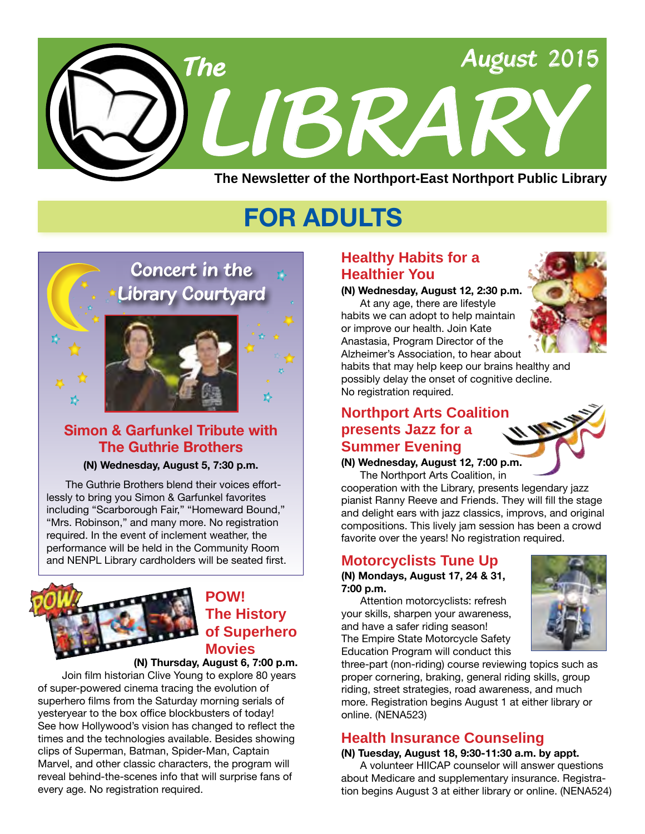

# **FOR ADULTS**



# **Simon & Garfunkel Tribute with The Guthrie Brothers**

### **(N) Wednesday, August 5, 7:30 p.m.**

The Guthrie Brothers blend their voices effortlessly to bring you Simon & Garfunkel favorites including "Scarborough Fair," "Homeward Bound," "Mrs. Robinson," and many more. No registration required. In the event of inclement weather, the performance will be held in the Community Room and NENPL Library cardholders will be seated first.



# **POW! The History of Superhero Movies**

### **(N) Thursday, August 6, 7:00 p.m.**

Join film historian Clive Young to explore 80 years of super-powered cinema tracing the evolution of superhero films from the Saturday morning serials of yesteryear to the box office blockbusters of today! See how Hollywood's vision has changed to reflect the times and the technologies available. Besides showing clips of Superman, Batman, Spider-Man, Captain Marvel, and other classic characters, the program will reveal behind-the-scenes info that will surprise fans of every age. No registration required.

# **Healthy Habits for a Healthier You**

**(N) Wednesday, August 12, 2:30 p.m.**

At any age, there are lifestyle habits we can adopt to help maintain or improve our health. Join Kate Anastasia, Program Director of the Alzheimer's Association, to hear about



habits that may help keep our brains healthy and possibly delay the onset of cognitive decline. No registration required.

# **Northport Arts Coalition presents Jazz for a Summer Evening**

**(N) Wednesday, August 12, 7:00 p.m.**

The Northport Arts Coalition, in cooperation with the Library, presents legendary jazz pianist Ranny Reeve and Friends. They will fill the stage and delight ears with jazz classics, improvs, and original compositions. This lively jam session has been a crowd favorite over the years! No registration required.

# **Motorcyclists Tune Up**

**(N) Mondays, August 17, 24 & 31, 7:00 p.m.**

Attention motorcyclists: refresh your skills, sharpen your awareness, and have a safer riding season! The Empire State Motorcycle Safety Education Program will conduct this



three-part (non-riding) course reviewing topics such as proper cornering, braking, general riding skills, group riding, street strategies, road awareness, and much more. Registration begins August 1 at either library or online. (NENA523)

# **Health Insurance Counseling**

# **(N) Tuesday, August 18, 9:30-11:30 a.m. by appt.**

A volunteer HIICAP counselor will answer questions about Medicare and supplementary insurance. Registration begins August 3 at either library or online. ([NENA5](http://alpha2.suffolk.lib.ny.us/search/?searchtype=X&SORT=D&searcharg=nena524&searchscope=43)24)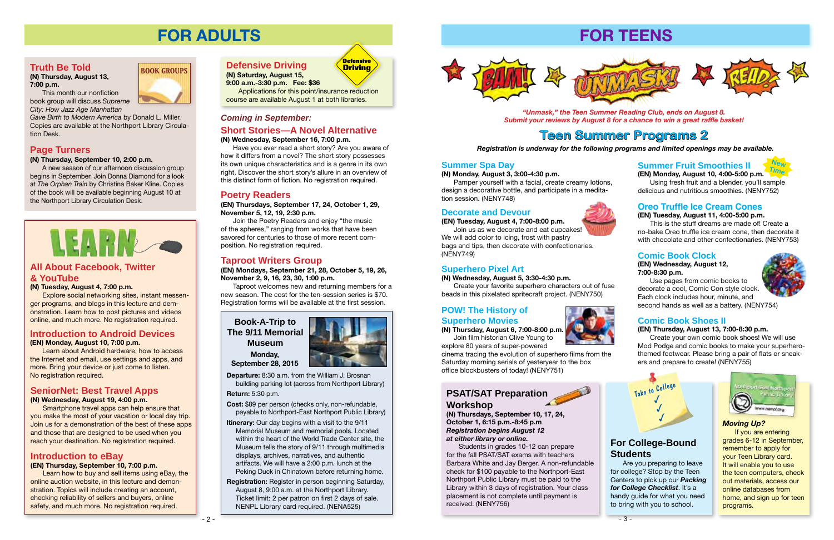### *Coming in September:*

# **FOR ADULTS**

# **All About Facebook, Twitter & YouTube**

### **(N) Tuesday, August 4, 7:00 p.m.**

Explore social networking sites, instant messenger programs, and blogs in this lecture and demonstration. Learn how to post pictures and videos online, and much more. No registration required.

## **Introduction to Android Devices**

### **(EN) Monday, August 10, 7:00 p.m.**

Learn about Android hardware, how to access the Internet and email, use settings and apps, and more. Bring your device or just come to listen. No registration required.

**Book-A-Trip to The 9/11 Memorial Museum Monday, September 28, 2015**



**Departure:** 8:30 a.m. from the William J. Brosnan building parking lot (across from Northport Library)

**Return:** 5:30 p.m.

**Cost:** \$89 per person (checks only, non-refundable, payable to Northport-East Northport Public Library)

- **Itinerary:** Our day begins with a visit to the 9/11 Memorial Museum and memorial pools. Located within the heart of the World Trade Center site, the Museum tells the story of 9/11 through multimedia displays, archives, narratives, and authentic artifacts. We will have a 2:00 p.m. lunch at the Peking Duck in Chinatown before returning home.
- **Registration:** Register in person beginning Saturday, August 8, 9:00 a.m. at the Northport Library. Ticket limit: 2 per patron on first 2 days of sale. NENPL Library card required. [\(NENA](http://alpha2.suffolk.lib.ny.us/search/?searchtype=X&SORT=D&searcharg=nena525&searchscope=43)525)



## **Introduction to eBay**

### **(EN) Thursday, September 10, 7:00 p.m.**

Learn how to buy and sell items using eBay, the online auction website, in this lecture and demonstration. Topics will include creating an account, checking reliability of sellers and buyers, online safety, and much more. No registration required.

# **SeniorNet: Best Travel Apps**

**(N) Wednesday, August 19, 4:00 p.m.**

Smartphone travel apps can help ensure that you make the most of your vacation or local day trip. Join us for a demonstration of the best of these apps and those that are designed to be used when you reach your destination. No registration required.

# **Short Stories—A Novel Alternative**

### **(N) Wednesday, September 16, 7:00 p.m.**

Have you ever read a short story? Are you aware of how it differs from a novel? The short story possesses its own unique characteristics and is a genre in its own right. Discover the short story's allure in an overview of this distinct form of fiction. No registration required.



**(N) Saturday, August 15, 9:00 a.m.-3:30 p.m. Fee: \$36**

Applications for this point/insurance reduction

# course are available August 1 at both libraries.



# **Poetry Readers**

**(EN) Thursdays, September 17, 24, October 1, 29, November 5, 12, 19, 2:30 p.m.**

Join the Poetry Readers and enjoy "the music of the spheres," ranging from works that have been savored for centuries to those of more recent composition. No registration required.

# **Truth Be Told**

**(N) Thursday, August 13, 7:00 p.m.**

This month our nonfiction book group will discuss *Supreme City: How Jazz Age Manhattan* 

*Gave Birth to Modern America* by Donald L. Miller. Copies are available at the Northport Library Circulation Desk.

**BOOK GROUPS**

# **Page Turners**

### **(N) Thursday, September 10, 2:00 p.m.**

A new season of our afternoon discussion group begins in September. Join Donna Diamond for a look at *The Orphan Train* by Christina Baker Kline. Copies of the book will be available beginning August 10 at the Northport Library Circulation Desk.



# **Taproot Writers Group**

**(EN) Mondays, September 21, 28, October 5, 19, 26, November 2, 9, 16, 23, 30, 1:00 p.m.**

Taproot welcomes new and returning members for a new season. The cost for the ten-session series is \$70. Registration forms will be available at the first session.







# **Comic Book Shoes II**

### **(EN) Thursday, August 13, 7:00-8:30 p.m.**

Create your own comic book shoes! We will use Mod Podge and comic books to make your superherothemed footwear. Please bring a pair of flats or sneakers and prepare to create! ([NENY755](http://alpha2.suffolk.lib.ny.us/search/?searchtype=X&SORT=D&searcharg=neny755&searchscope=43))

# **Comic Book Clock**

### **(EN) Wednesday, August 12, 7:00-8:30 p.m.**

Use pages from comic books to decorate a cool, Comic Con style clock. Each clock includes hour, minute, and second hands as well as a battery. [\(NENY754\)](http://alpha2.suffolk.lib.ny.us/search/?searchtype=X&SORT=D&searcharg=neny754&searchscope=43)



## **Oreo Truffle Ice Cream Cones**

**(EN) Tuesday, August 11, 4:00-5:00 p.m.**

This is the stuff dreams are made of! Create a no-bake Oreo truffle ice cream cone, then decorate it with chocolate and other confectionaries. [\(NENY753\)](http://alpha2.suffolk.lib.ny.us/search/?searchtype=X&SORT=D&searcharg=neny753&searchscope=43)

# **Summer Fruit Smoothies II**

**(EN) Monday, August 10, 4:00-5:00 p.m.** Using fresh fruit and a blender, you'll sample delicious and nutritious smoothies. ([NENY752](http://alpha2.suffolk.lib.ny.us/search/?searchtype=X&SORT=D&searcharg=neny752&searchscope=43))

# **POW! The History of Superhero Movies**

**(N) Thursday, August 6, 7:00-8:00 p.m.** Join film historian Clive Young to

explore 80 years of super-powered cinema tracing the evolution of superhero films from the Saturday morning serials of yesteryear to the box office blockbusters of today! [\(NENY751](http://alpha2.suffolk.lib.ny.us/search/?searchtype=X&SORT=D&searcharg=neny751&searchscope=43))

### **Superhero Pixel Art**

### **(N) Wednesday, August 5, 3:30-4:30 p.m.**

Create your favorite superhero characters out of fuse beads in this pixelated spritecraft project. [\(NENY750\)](http://alpha2.suffolk.lib.ny.us/search/?searchtype=X&SORT=D&searcharg=neny750&searchscope=43)

### **Decorate and Devour**

### **(EN) Tuesday, August 4, 7:00-8:00 p.m.**

Join us as we decorate and eat cupcakes! We will add color to icing, frost with pastry bags and tips, then decorate with confectionaries. ([NENY749](http://alpha2.suffolk.lib.ny.us/search/?searchtype=X&SORT=D&searcharg=neny749&searchscope=43))

# **Summer Spa Day**

### **(N) Monday, August 3, 3:00-4:30 p.m.**

Pamper yourself with a facial, create creamy lotions, design a decorative bottle, and participate in a meditation session. [\(NENY748](http://alpha2.suffolk.lib.ny.us/search/?searchtype=X&SORT=D&searcharg=neny748&searchscope=43))

# **For College-Bound Students**

Are you preparing to leave for college? Stop by the Teen Centers to pick up our *Packing for College Checklist*. It's a handy guide for what you need to bring with you to school.



# **PSAT/SAT Preparation**

**Workshop (N) Thursdays, September 10, 17, 24,** 

**October 1, 6:15 p.m.-8:45 p.m** *Registration begins August 12 at either library or online.*

Students in grades 10-12 can prepare for the fall PSAT/SAT exams with teachers Barbara White and Jay Berger. A non-refundable check for \$100 payable to the Northport-East Northport Public Library must be paid to the Library within 3 days of registration. Your class placement is not complete until payment is received. [\(NENY756\)](http://alpha2.suffolk.lib.ny.us/search/?searchtype=X&SORT=D&searcharg=neny756&searchscope=43)



*Registration is underway for the following programs and limited openings may be available.*

# **Teen Summer Programs 2**



## *Moving Up?*

If you are entering grades 6-12 in September, remember to apply for your Teen Library card. It will enable you to use the teen computers, check out materials, access our online databases from home, and sign up for teen programs.





*"Unmask," the Teen Summer Reading Club, ends on August 8. Submit your reviews by August 8 for a chance to win a great raffle basket!*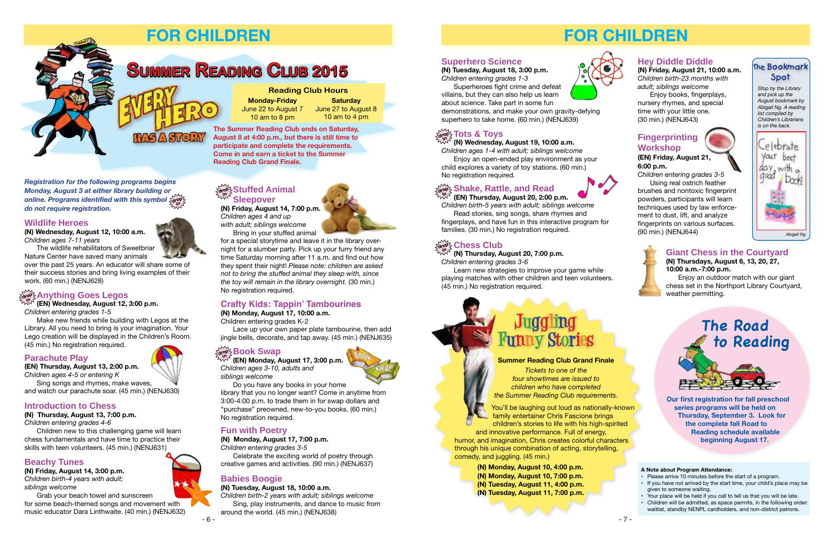# **FOR CHILDREN**



### **A Note about Program Attendance:**

- Please arrive 10 minutes before the start of a program.
- If you have not arrived by the start time, your child's place may be given to someone waiting.
- Your place will be held if you call to tell us that you will be late.
- Children will be admitted, as space permits, in the following order: waitlist, standby NENPL cardholders, and non-district patrons.

**Our first registration for fall preschool series programs will be held on Thursday, September 3. Look for the complete fall Road to Reading schedule available beginning August 17.**

# **Superhero Science**

### **(N) Tuesday, August 18, 3:00 p.m.** *Children entering grades 1-3*

Superheroes fight crime and defeat villains, but they can also help us learn about science. Take part in some fun

demonstrations, and make your own gravity-defying superhero to take home. (60 min.) ([NENJ639](http://alpha2.suffolk.lib.ny.us/search/?searchtype=X&SORT=D&searcharg=nenj639&searchscope=43))

**(N) Wednesday, August 19, 10:00 a.m.** 

*Children ages 1-4 with adult; siblings welcome* Enjoy an open-ended play environment as your child explores a variety of toy stations. (60 min.) No registration required.

# $\frac{1}{\deg \chi}$  Shake, Rattle, and Read

You'll be laughing out loud as nationally-known family entertainer Chris Fascione brings children's stories to life with his high-spirited and innovative performance. Full of energy,

*Children birth-5 years with adult; siblings welcome* Read stories, sing songs, share rhymes and fingerplays, and have fun in this interactive program for families. (30 min.) No registration required.

# $\frac{\sum\limits_{\text{drop}}\sum\limits_{\text{S}}\text{Chess Club}}{}$

Learn new strategies to improve your game while playing matches with other children and teen volunteers. (45 min.) No registration required.

#### $\frac{1}{2}$  Tots & Toys **in**

# **Hey Diddle Diddle**

**(N) Friday, August 21, 10:00 a.m.**  *Children birth-23 months with adult; siblings welcome*

Enjoy books, fingerplays, nursery rhymes, and special time with your little one. (30 min.) ([NENJ643\)](http://alpha2.suffolk.lib.ny.us/search/?searchtype=X&SORT=D&searcharg=nenj643&searchscope=43)

# **Fingerprinting Workshop**



**(EN) Friday, August 21, 6:00 p.m.**

*Children entering grades 3-5* Using real ostrich feather brushes and nontoxic fingerprint powders, participants will learn techniques used by law enforcement to dust, lift, and analyze fingerprints on various surfaces. (90 min.) ([NENJ644\)](http://alpha2.suffolk.lib.ny.us/search/?searchtype=X&SORT=D&searcharg=nenj644&searchscope=43)

**(EN) Thursday, August 20, 2:00 p.m. in**

**(N) Thursday, August 20, 7:00 p.m.**  *Children entering grades 3-6* **in**

humor, and imagination, Chris creates colorful characters through his unique combination of acting, storytelling, comedy, and juggling. (45 min.)

### **Summer Reading Club Grand Finale**

*Tickets to one of the four showtimes are issued to children who have completed the Summer Reading Club requirements.* 

**(N) Monday, August 10, 4:00 p.m. (N) Monday, August 10, 7:00 p.m. (N) Tuesday, August 11, 4:00 p.m. (N) Tuesday, August 11, 7:00 p.m.**





# **Juggling Funny Stories**

Do you have any books in your home library that you no longer want? Come in anytime from 3:00-4:00 p.m. to trade them in for swap dollars and "purchase" preowned, new-to-you books. (60 min.) No registration required.

### **Giant Chess in the Courtyard (N) Thursdays, August 6, 13, 20, 27, 10:00 a.m.-7:00 p.m.**

Enjoy an outdoor match with our giant chess set in the Northport Library Courtyard, weather permitting.

# **The Bookmark Spot**

*Stop by the Library and pick up the August bookmark by Abigail Ng. A reading list compiled by Children's Librarians is on the back.*













# **FOR CHILDREN**

#### *Registration for the following programs begins Monday, August 3 at either library building or online. Programs identified with this symbol*  **drop**  *do not require registration.* **in**

# **Summer Reading Club 2015**

**Saturday** June 27 to August 8 10 am to 4 pm

### **Reading Club Hours**

**Monday-Friday** June 22 to August 7 10 am to 8 pm

# **Wildlife Heroes**

**(N) Wednesday, August 12, 10:00 a.m.** *Children ages 7-11 years*

The wildlife rehabilitators of Sweetbriar Nature Center have saved many animals

**in (EN) Wednesday, August 12, 3:00 p.m.**  *Children entering grades 1-5*

over the past 25 years. An educator will share some of their success stories and bring living examples of their work. (60 min.) ([NENJ628](http://alpha2.suffolk.lib.ny.us/search/?searchtype=X&SORT=D&searcharg=nenj628&searchscope=43))

# $\frac{1}{\alpha! \alpha!}$ ટ્રAnything Goes Legos

Make new friends while building with Legos at the Library. All you need to bring is your imagination. Your Lego creation will be displayed in the Children's Room. (45 min.) No registration required.

# **Parachute Play**

**(EN) Thursday, August 13, 2:00 p.m.**  *Children ages 4-5 or entering K* Sing songs and rhymes, make waves,

and watch our parachute soar. (45 min.) [\(NENJ630\)](http://alpha2.suffolk.lib.ny.us/search/?searchtype=X&SORT=D&searcharg=nenj630&searchscope=43)

# **Introduction to Chess**

**(N) Thursday, August 13, 7:00 p.m.**  *Children entering grades 4-6*

Children new to this challenging game will learn chess fundamentals and have time to practice their skills with teen volunteers. (45 min.) ([NENJ631\)](http://alpha2.suffolk.lib.ny.us/search/?searchtype=X&SORT=D&searcharg=nenj631&searchscope=43)

#### **drop in Book Swap**

# **Beachy Tunes**

**(N) Friday, August 14, 3:00 p.m.** *Children birth-4 years with adult; siblings welcome*

Grab your beach towel and sunscreen for some beach-themed songs and movement with music educator Dara Linthwaite. (40 min.) ([NENJ632](http://alpha2.suffolk.lib.ny.us/search/?searchtype=X&SORT=D&searcharg=nenj632&searchscope=43))



 $\Gamma$ 

**(N) Friday, August 14, 7:00 p.m.** *Children ages 4 and up with adult; siblings welcome*

Bring in your stuffed animal

for a special storytime and leave it in the library overnight for a slumber party. Pick up your furry friend any time Saturday morning after 11 a.m. and find out how they spent their night! *Please note: children are asked not to bring the stuffed animal they sleep with, since the toy will remain in the library overnight.* (30 min.) No registration required.

# **Crafty Kids: Tappin' Tambourines**

**(N) Monday, August 17, 10:00 a.m.** 







Children entering grades K-2

Lace up your own paper plate tambourine, then add jingle bells, decorate, and tap away. (45 min.) [\(NENJ635\)](http://alpha2.suffolk.lib.ny.us/search/?searchtype=X&SORT=D&searcharg=nenj635&searchscope=43)

**(EN) Monday, August 17, 3:00 p.m.** *Children ages 3-10, adults and siblings welcome*



# **Fun with Poetry**

### **(N) Monday, August 17, 7:00 p.m.**

*Children entering grades 3-5*

Celebrate the exciting world of poetry through creative games and activities. (90 min.) [\(NENJ637\)](http://alpha2.suffolk.lib.ny.us/search/?searchtype=X&SORT=D&searcharg=nenj637&searchscope=43)

# **Babies Boogie**

**(N) Tuesday, August 18, 10:00 a.m.**

*Children birth-2 years with adult; siblings welcome* Sing, play instruments, and dance to music from around the world. (45 min.) ([NENJ638](http://alpha2.suffolk.lib.ny.us/search/?searchtype=X&SORT=D&searcharg=nenj638&searchscope=43))

**The Summer Reading Club ends on Saturday, August 8 at 4:00 p.m., but there is still time to participate and complete the requirements. Come in and earn a ticket to the Summer Reading Club Grand Finale.**